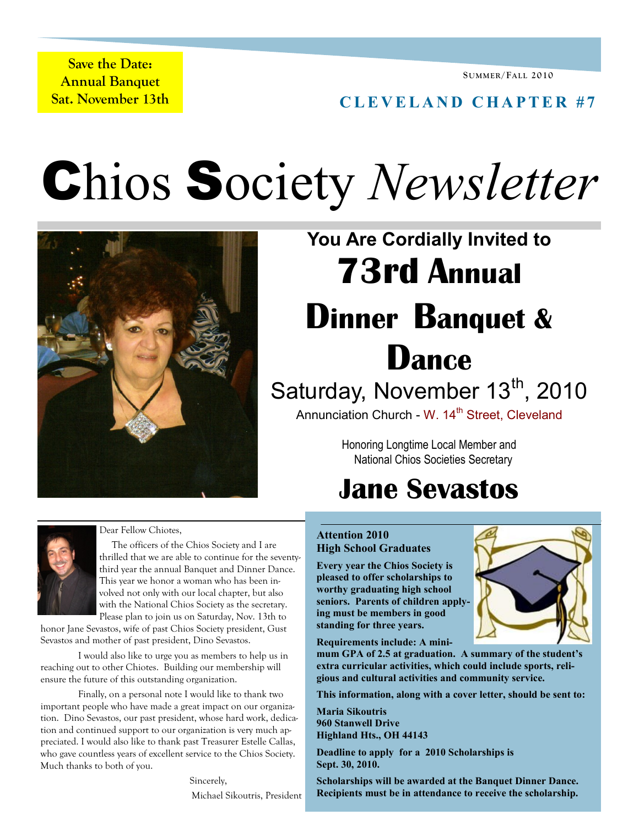**Save the Date: Annual Banquet Sat. November 13th** 

### **C L E V E L A N D C H A P T E R # 7**

Chios Society *Newsletter*



# **You Are Cordially Invited to 73rd Annual Dinner Banquet & Dance** Saturday, November 13<sup>th</sup>, 2010 Annunciation Church - W. 14<sup>th</sup> Street, Cleveland

Honoring Longtime Local Member and National Chios Societies Secretary

## **Jane Sevastos**

#### **Attention 2010 High School Graduates**

**Every year the Chios Society is pleased to offer scholarships to worthy graduating high school seniors. Parents of children applying must be members in good standing for three years.** 

**Requirements include: A mini-**

**mum GPA of 2.5 at graduation. A summary of the student's extra curricular activities, which could include sports, religious and cultural activities and community service.**

**This information, along with a cover letter, should be sent to:**

**Maria Sikoutris 960 Stanwell Drive Highland Hts., OH 44143**

**Deadline to apply for a 2010 Scholarships is Sept. 30, 2010.**

**Scholarships will be awarded at the Banquet Dinner Dance. Recipients must be in attendance to receive the scholarship.** 



 The officers of the Chios Society and I are thrilled that we are able to continue for the seventythird year the annual Banquet and Dinner Dance. This year we honor a woman who has been involved not only with our local chapter, but also with the National Chios Society as the secretary. Please plan to join us on Saturday, Nov. 13th to

honor Jane Sevastos, wife of past Chios Society president, Gust Sevastos and mother of past president, Dino Sevastos.

I would also like to urge you as members to help us in reaching out to other Chiotes. Building our membership will ensure the future of this outstanding organization.

Finally, on a personal note I would like to thank two important people who have made a great impact on our organization. Dino Sevastos, our past president, whose hard work, dedication and continued support to our organization is very much appreciated. I would also like to thank past Treasurer Estelle Callas, who gave countless years of excellent service to the Chios Society. Much thanks to both of you.

> Sincerely, Michael Sikoutris, President